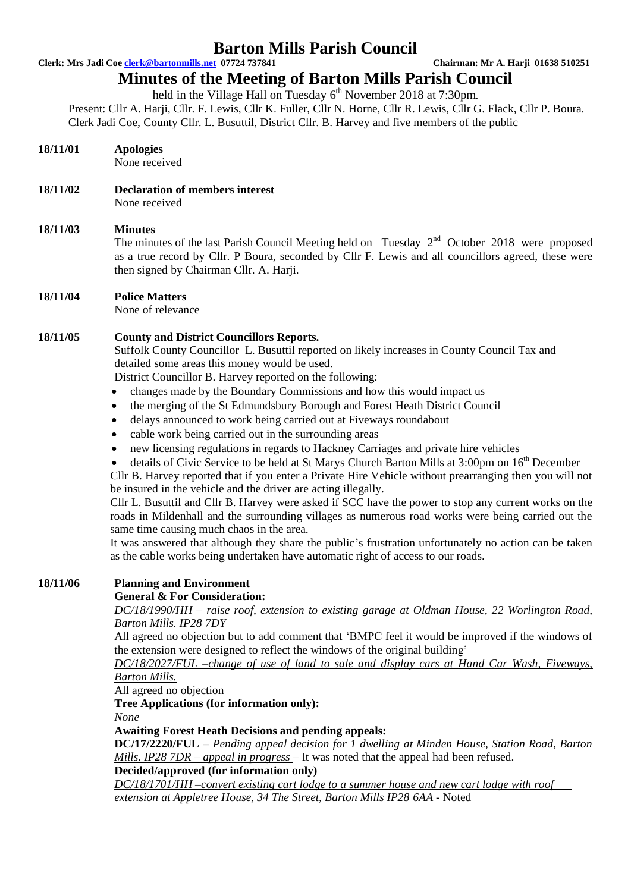#### **Clerk: Mrs Jadi Coe clerk@bartonmills.net 07724 737841 Chairman: Mr A. Harji 01638 510251**

# **Minutes of the Meeting of Barton Mills Parish Council**

held in the Village Hall on Tuesday 6<sup>th</sup> November 2018 at 7:30pm. Present: Cllr A. Harji, Cllr. F. Lewis, Cllr K. Fuller, Cllr N. Horne, Cllr R. Lewis, Cllr G. Flack, Cllr P. Boura. Clerk Jadi Coe, County Cllr. L. Busuttil, District Cllr. B. Harvey and five members of the public

**18/11/01 Apologies**

None received

**18/11/02 Declaration of members interest**

None received

#### **18/11/03 Minutes**

The minutes of the last Parish Council Meeting held on Tuesday  $2<sup>nd</sup>$  October 2018 were proposed as a true record by Cllr. P Boura, seconded by Cllr F. Lewis and all councillors agreed, these were then signed by Chairman Cllr. A. Harji.

**18/11/04 Police Matters** 

None of relevance

#### **18/11/05 County and District Councillors Reports.**

Suffolk County Councillor L. Busuttil reported on likely increases in County Council Tax and detailed some areas this money would be used.

District Councillor B. Harvey reported on the following:

- changes made by the Boundary Commissions and how this would impact us
- the merging of the St Edmundsbury Borough and Forest Heath District Council
- delays announced to work being carried out at Fiveways roundabout
- cable work being carried out in the surrounding areas
- new licensing regulations in regards to Hackney Carriages and private hire vehicles

details of Civic Service to be held at St Marys Church Barton Mills at  $3:00 \text{pm}$  on  $16^{\text{th}}$  December

Cllr B. Harvey reported that if you enter a Private Hire Vehicle without prearranging then you will not be insured in the vehicle and the driver are acting illegally.

Cllr L. Busuttil and Cllr B. Harvey were asked if SCC have the power to stop any current works on the roads in Mildenhall and the surrounding villages as numerous road works were being carried out the same time causing much chaos in the area.

It was answered that although they share the public's frustration unfortunately no action can be taken as the cable works being undertaken have automatic right of access to our roads.

#### **18/11/06 Planning and Environment**

#### **General & For Consideration:**

*DC/18/1990/HH – raise roof, extension to existing garage at Oldman House, 22 Worlington Road, Barton Mills. IP28 7DY*

All agreed no objection but to add comment that 'BMPC feel it would be improved if the windows of the extension were designed to reflect the windows of the original building'

*DC/18/2027/FUL –change of use of land to sale and display cars at Hand Car Wash, Fiveways, Barton Mills.* 

All agreed no objection

**Tree Applications (for information only):**

*None*

**Awaiting Forest Heath Decisions and pending appeals:**

**DC/17/2220/FUL –** *Pending appeal decision for 1 dwelling at Minden House, Station Road, Barton Mills. IP28 7DR – appeal in progress* – It was noted that the appeal had been refused.

### **Decided/approved (for information only)**

*DC/18/1701/HH –convert existing cart lodge to a summer house and new cart lodge with roof extension at Appletree House, 34 The Street, Barton Mills IP28 6AA* - Noted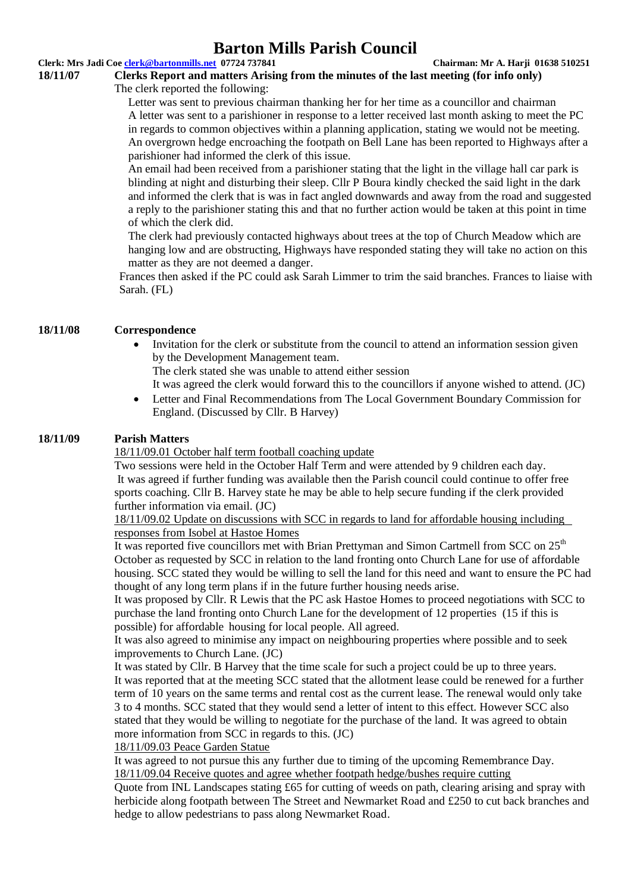#### **Clerk: Mrs Jadi Coe clerk@bartonmills.net 07724 737841 Chairman: Mr A. Harji 01638 510251**

# **18/11/07 Clerks Report and matters Arising from the minutes of the last meeting (for info only)**

The clerk reported the following:

Letter was sent to previous chairman thanking her for her time as a councillor and chairman A letter was sent to a parishioner in response to a letter received last month asking to meet the PC in regards to common objectives within a planning application, stating we would not be meeting. An overgrown hedge encroaching the footpath on Bell Lane has been reported to Highways after a parishioner had informed the clerk of this issue.

An email had been received from a parishioner stating that the light in the village hall car park is blinding at night and disturbing their sleep. Cllr P Boura kindly checked the said light in the dark and informed the clerk that is was in fact angled downwards and away from the road and suggested a reply to the parishioner stating this and that no further action would be taken at this point in time of which the clerk did.

The clerk had previously contacted highways about trees at the top of Church Meadow which are hanging low and are obstructing, Highways have responded stating they will take no action on this matter as they are not deemed a danger.

Frances then asked if the PC could ask Sarah Limmer to trim the said branches. Frances to liaise with Sarah. (FL)

#### **18/11/08 Correspondence**

 Invitation for the clerk or substitute from the council to attend an information session given by the Development Management team.

The clerk stated she was unable to attend either session

It was agreed the clerk would forward this to the councillors if anyone wished to attend. (JC)

 Letter and Final Recommendations from The Local Government Boundary Commission for England. (Discussed by Cllr. B Harvey)

#### **18/11/09 Parish Matters**

18/11/09.01 October half term football coaching update

Two sessions were held in the October Half Term and were attended by 9 children each day. It was agreed if further funding was available then the Parish council could continue to offer free sports coaching. Cllr B. Harvey state he may be able to help secure funding if the clerk provided further information via email. (JC)

18/11/09.02 Update on discussions with SCC in regards to land for affordable housing including responses from Isobel at Hastoe Homes

It was reported five councillors met with Brian Prettyman and Simon Cartmell from SCC on 25<sup>th</sup> October as requested by SCC in relation to the land fronting onto Church Lane for use of affordable housing. SCC stated they would be willing to sell the land for this need and want to ensure the PC had thought of any long term plans if in the future further housing needs arise.

It was proposed by Cllr. R Lewis that the PC ask Hastoe Homes to proceed negotiations with SCC to purchase the land fronting onto Church Lane for the development of 12 properties (15 if this is possible) for affordable housing for local people. All agreed.

It was also agreed to minimise any impact on neighbouring properties where possible and to seek improvements to Church Lane. (JC)

It was stated by Cllr. B Harvey that the time scale for such a project could be up to three years. It was reported that at the meeting SCC stated that the allotment lease could be renewed for a further term of 10 years on the same terms and rental cost as the current lease. The renewal would only take 3 to 4 months. SCC stated that they would send a letter of intent to this effect. However SCC also stated that they would be willing to negotiate for the purchase of the land. It was agreed to obtain more information from SCC in regards to this. (JC)

18/11/09.03 Peace Garden Statue

It was agreed to not pursue this any further due to timing of the upcoming Remembrance Day. 18/11/09.04 Receive quotes and agree whether footpath hedge/bushes require cutting

Quote from INL Landscapes stating £65 for cutting of weeds on path, clearing arising and spray with herbicide along footpath between The Street and Newmarket Road and £250 to cut back branches and hedge to allow pedestrians to pass along Newmarket Road.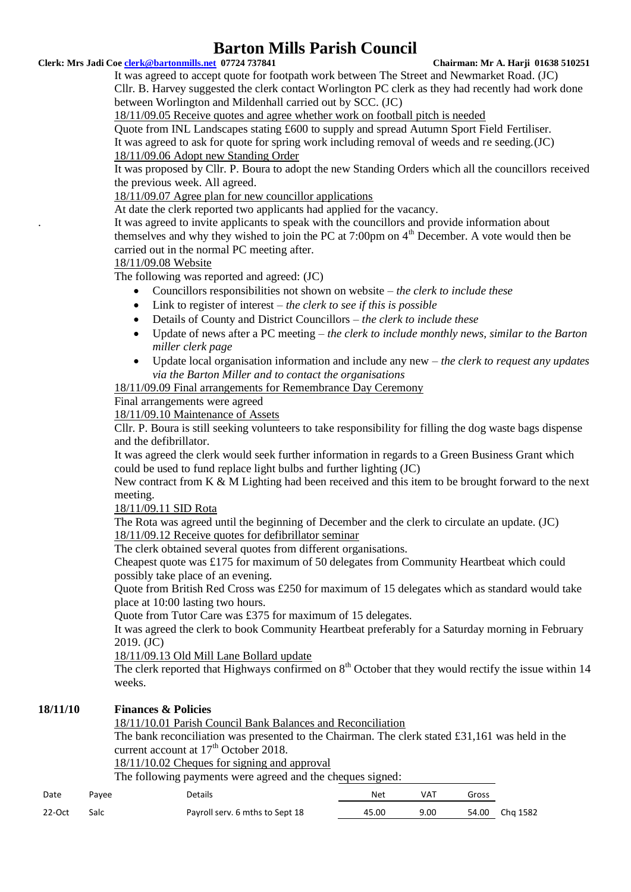#### **Clerk: Mrs Jadi Coe clerk@bartonmills.net 07724 737841 Chairman: Mr A. Harji 01638 510251**

It was agreed to accept quote for footpath work between The Street and Newmarket Road. (JC) Cllr. B. Harvey suggested the clerk contact Worlington PC clerk as they had recently had work done between Worlington and Mildenhall carried out by SCC. (JC)

18/11/09.05 Receive quotes and agree whether work on football pitch is needed

Quote from INL Landscapes stating £600 to supply and spread Autumn Sport Field Fertiliser. It was agreed to ask for quote for spring work including removal of weeds and re seeding.(JC)

#### 18/11/09.06 Adopt new Standing Order

It was proposed by Cllr. P. Boura to adopt the new Standing Orders which all the councillors received the previous week. All agreed.

18/11/09.07 Agree plan for new councillor applications

At date the clerk reported two applicants had applied for the vacancy.

. It was agreed to invite applicants to speak with the councillors and provide information about themselves and why they wished to join the PC at  $7:00 \text{pm}$  on  $4^{\text{th}}$  December. A vote would then be carried out in the normal PC meeting after.

#### 18/11/09.08 Website

The following was reported and agreed: (JC)

- Councillors responsibilities not shown on website *the clerk to include these*
- Link to register of interest *the clerk to see if this is possible*
- Details of County and District Councillors *the clerk to include these*
- Update of news after a PC meeting *the clerk to include monthly news, similar to the Barton miller clerk page*
- Update local organisation information and include any new *the clerk to request any updates via the Barton Miller and to contact the organisations*

18/11/09.09 Final arrangements for Remembrance Day Ceremony

Final arrangements were agreed

18/11/09.10 Maintenance of Assets

Cllr. P. Boura is still seeking volunteers to take responsibility for filling the dog waste bags dispense and the defibrillator.

It was agreed the clerk would seek further information in regards to a Green Business Grant which could be used to fund replace light bulbs and further lighting (JC)

New contract from  $K \& M$  Lighting had been received and this item to be brought forward to the next meeting.

18/11/09.11 SID Rota

The Rota was agreed until the beginning of December and the clerk to circulate an update. (JC) 18/11/09.12 Receive quotes for defibrillator seminar

The clerk obtained several quotes from different organisations.

Cheapest quote was £175 for maximum of 50 delegates from Community Heartbeat which could possibly take place of an evening.

Quote from British Red Cross was £250 for maximum of 15 delegates which as standard would take place at 10:00 lasting two hours.

Quote from Tutor Care was £375 for maximum of 15 delegates.

It was agreed the clerk to book Community Heartbeat preferably for a Saturday morning in February 2019. (JC)

18/11/09.13 Old Mill Lane Bollard update

The clerk reported that Highways confirmed on  $8<sup>th</sup>$  October that they would rectify the issue within 14 weeks.

#### **18/11/10 Finances & Policies**

#### 18/11/10.01 Parish Council Bank Balances and Reconciliation

The bank reconciliation was presented to the Chairman. The clerk stated £31,161 was held in the current account at 17<sup>th</sup> October 2018.

18/11/10.02 Cheques for signing and approval

The following payments were agreed and the cheques signed:

| Date   | Payee | Details                         | Net   | VAT  | Gross |                |
|--------|-------|---------------------------------|-------|------|-------|----------------|
| 22-Oct | Salc  | Payroll serv. 6 mths to Sept 18 | 45.00 | 9.00 |       | 54.00 Chg 1582 |